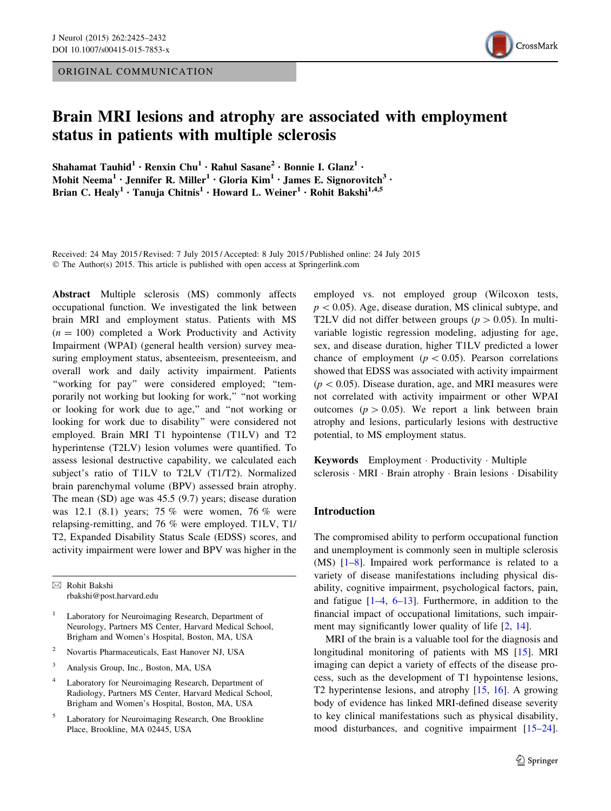ORIGINAL COMMUNICATION



# Brain MRI lesions and atrophy are associated with employment status in patients with multiple sclerosis

Shahamat Tauhid<sup>1</sup> • Renxin Chu<sup>1</sup> • Rahul Sasane<sup>2</sup> • Bonnie I. Glanz<sup>1</sup> • Mohit Neema<sup>1</sup> • Jennifer R. Miller<sup>1</sup> • Gloria Kim<sup>1</sup> • James E. Signorovitch<sup>3</sup> • Brian C. Healy<sup>1</sup> • Tanuja Chitnis<sup>1</sup> • Howard L. Weiner<sup>1</sup> • Rohit Bakshi<sup>1,4,5</sup>

Received: 24 May 2015 / Revised: 7 July 2015 / Accepted: 8 July 2015 / Published online: 24 July 2015 © The Author(s) 2015. This article is published with open access at Springerlink.com

Abstract Multiple sclerosis (MS) commonly affects occupational function. We investigated the link between brain MRI and employment status. Patients with MS  $(n = 100)$  completed a Work Productivity and Activity Impairment (WPAI) (general health version) survey measuring employment status, absenteeism, presenteeism, and overall work and daily activity impairment. Patients ''working for pay'' were considered employed; ''temporarily not working but looking for work,'' ''not working or looking for work due to age,'' and ''not working or looking for work due to disability'' were considered not employed. Brain MRI T1 hypointense (T1LV) and T2 hyperintense (T2LV) lesion volumes were quantified. To assess lesional destructive capability, we calculated each subject's ratio of T1LV to T2LV (T1/T2). Normalized brain parenchymal volume (BPV) assessed brain atrophy. The mean (SD) age was 45.5 (9.7) years; disease duration was 12.1 (8.1) years; 75 % were women, 76 % were relapsing-remitting, and 76 % were employed. T1LV, T1/ T2, Expanded Disability Status Scale (EDSS) scores, and activity impairment were lower and BPV was higher in the

 $\boxtimes$  Rohit Bakshi rbakshi@post.harvard.edu

Laboratory for Neuroimaging Research, Department of Neurology, Partners MS Center, Harvard Medical School, Brigham and Women's Hospital, Boston, MA, USA

- <sup>2</sup> Novartis Pharmaceuticals, East Hanover NJ, USA
- <sup>3</sup> Analysis Group, Inc., Boston, MA, USA
- <sup>4</sup> Laboratory for Neuroimaging Research, Department of Radiology, Partners MS Center, Harvard Medical School, Brigham and Women's Hospital, Boston, MA, USA
- <sup>5</sup> Laboratory for Neuroimaging Research, One Brookline Place, Brookline, MA 02445, USA

employed vs. not employed group (Wilcoxon tests,  $p\lt 0.05$ ). Age, disease duration, MS clinical subtype, and T2LV did not differ between groups ( $p > 0.05$ ). In multivariable logistic regression modeling, adjusting for age, sex, and disease duration, higher T1LV predicted a lower chance of employment ( $p < 0.05$ ). Pearson correlations showed that EDSS was associated with activity impairment  $(p<0.05)$ . Disease duration, age, and MRI measures were not correlated with activity impairment or other WPAI outcomes ( $p > 0.05$ ). We report a link between brain atrophy and lesions, particularly lesions with destructive potential, to MS employment status.

Keywords Employment - Productivity - Multiple sclerosis · MRI · Brain atrophy · Brain lesions · Disability

## Introduction

The compromised ability to perform occupational function and unemployment is commonly seen in multiple sclerosis (MS) [\[1](#page-5-0)[–8](#page-6-0)]. Impaired work performance is related to a variety of disease manifestations including physical disability, cognitive impairment, psychological factors, pain, and fatigue [[1–4,](#page-5-0) [6–13\]](#page-6-0). Furthermore, in addition to the financial impact of occupational limitations, such impair-ment may significantly lower quality of life [[2,](#page-5-0) [14\]](#page-6-0).

MRI of the brain is a valuable tool for the diagnosis and longitudinal monitoring of patients with MS [[15\]](#page-6-0). MRI imaging can depict a variety of effects of the disease process, such as the development of T1 hypointense lesions, T2 hyperintense lesions, and atrophy [[15,](#page-6-0) [16\]](#page-6-0). A growing body of evidence has linked MRI-defined disease severity to key clinical manifestations such as physical disability, mood disturbances, and cognitive impairment [\[15–24](#page-6-0)].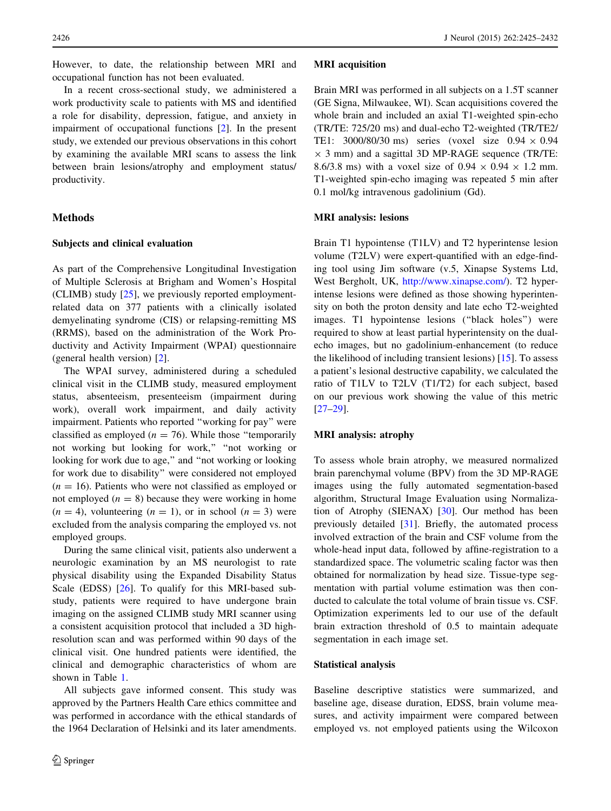However, to date, the relationship between MRI and occupational function has not been evaluated.

In a recent cross-sectional study, we administered a work productivity scale to patients with MS and identified a role for disability, depression, fatigue, and anxiety in impairment of occupational functions [\[2](#page-5-0)]. In the present study, we extended our previous observations in this cohort by examining the available MRI scans to assess the link between brain lesions/atrophy and employment status/ productivity.

# Methods

#### Subjects and clinical evaluation

As part of the Comprehensive Longitudinal Investigation of Multiple Sclerosis at Brigham and Women's Hospital (CLIMB) study [\[25](#page-6-0)], we previously reported employmentrelated data on 377 patients with a clinically isolated demyelinating syndrome (CIS) or relapsing-remitting MS (RRMS), based on the administration of the Work Productivity and Activity Impairment (WPAI) questionnaire (general health version) [\[2](#page-5-0)].

The WPAI survey, administered during a scheduled clinical visit in the CLIMB study, measured employment status, absenteeism, presenteeism (impairment during work), overall work impairment, and daily activity impairment. Patients who reported ''working for pay'' were classified as employed ( $n = 76$ ). While those "temporarily not working but looking for work,'' ''not working or looking for work due to age," and "not working or looking for work due to disability'' were considered not employed  $(n = 16)$ . Patients who were not classified as employed or not employed  $(n = 8)$  because they were working in home  $(n = 4)$ , volunteering  $(n = 1)$ , or in school  $(n = 3)$  were excluded from the analysis comparing the employed vs. not employed groups.

During the same clinical visit, patients also underwent a neurologic examination by an MS neurologist to rate physical disability using the Expanded Disability Status Scale (EDSS) [[26\]](#page-6-0). To qualify for this MRI-based substudy, patients were required to have undergone brain imaging on the assigned CLIMB study MRI scanner using a consistent acquisition protocol that included a 3D highresolution scan and was performed within 90 days of the clinical visit. One hundred patients were identified, the clinical and demographic characteristics of whom are shown in Table [1.](#page-2-0)

All subjects gave informed consent. This study was approved by the Partners Health Care ethics committee and was performed in accordance with the ethical standards of the 1964 Declaration of Helsinki and its later amendments.

#### MRI acquisition

Brain MRI was performed in all subjects on a 1.5T scanner (GE Signa, Milwaukee, WI). Scan acquisitions covered the whole brain and included an axial T1-weighted spin-echo (TR/TE: 725/20 ms) and dual-echo T2-weighted (TR/TE2/ TE1: 3000/80/30 ms) series (voxel size  $0.94 \times 0.94$  $\times$  3 mm) and a sagittal 3D MP-RAGE sequence (TR/TE: 8.6/3.8 ms) with a voxel size of  $0.94 \times 0.94 \times 1.2$  mm. T1-weighted spin-echo imaging was repeated 5 min after 0.1 mol/kg intravenous gadolinium (Gd).

## MRI analysis: lesions

Brain T1 hypointense (T1LV) and T2 hyperintense lesion volume (T2LV) were expert-quantified with an edge-finding tool using Jim software (v.5, Xinapse Systems Ltd, West Bergholt, UK, [http://www.xinapse.com/\)](http://www.xinapse.com/). T2 hyperintense lesions were defined as those showing hyperintensity on both the proton density and late echo T2-weighted images. T1 hypointense lesions (''black holes'') were required to show at least partial hyperintensity on the dualecho images, but no gadolinium-enhancement (to reduce the likelihood of including transient lesions) [\[15](#page-6-0)]. To assess a patient's lesional destructive capability, we calculated the ratio of T1LV to T2LV (T1/T2) for each subject, based on our previous work showing the value of this metric [\[27–29](#page-6-0)].

## MRI analysis: atrophy

To assess whole brain atrophy, we measured normalized brain parenchymal volume (BPV) from the 3D MP-RAGE images using the fully automated segmentation-based algorithm, Structural Image Evaluation using Normalization of Atrophy (SIENAX)  $[30]$  $[30]$ . Our method has been previously detailed [[31\]](#page-6-0). Briefly, the automated process involved extraction of the brain and CSF volume from the whole-head input data, followed by affine-registration to a standardized space. The volumetric scaling factor was then obtained for normalization by head size. Tissue-type segmentation with partial volume estimation was then conducted to calculate the total volume of brain tissue vs. CSF. Optimization experiments led to our use of the default brain extraction threshold of 0.5 to maintain adequate segmentation in each image set.

### Statistical analysis

Baseline descriptive statistics were summarized, and baseline age, disease duration, EDSS, brain volume measures, and activity impairment were compared between employed vs. not employed patients using the Wilcoxon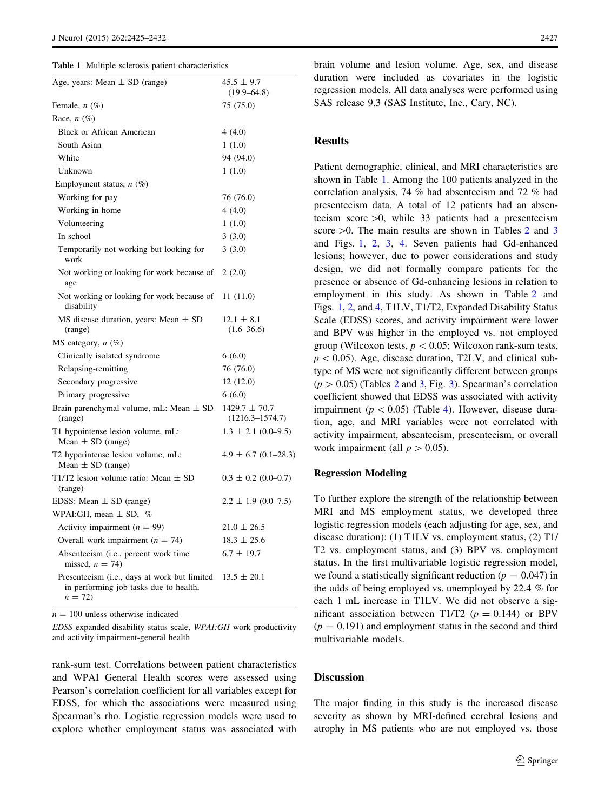<span id="page-2-0"></span>

|  | <b>Table 1</b> Multiple sclerosis patient characteristics |  |  |
|--|-----------------------------------------------------------|--|--|
|  |                                                           |  |  |

| Age, years: Mean $\pm$ SD (range)                                                                           | $45.5 \pm 9.7$<br>$(19.9 - 64.8)$        |
|-------------------------------------------------------------------------------------------------------------|------------------------------------------|
| Female, $n$ $(\%)$                                                                                          | 75 (75.0)                                |
| Race, $n$ (%)                                                                                               |                                          |
| <b>Black or African American</b>                                                                            | 4(4.0)                                   |
| South Asian                                                                                                 | 1(1.0)                                   |
| White                                                                                                       | 94 (94.0)                                |
| Unknown                                                                                                     | 1(1.0)                                   |
| Employment status, $n$ (%)                                                                                  |                                          |
| Working for pay                                                                                             | 76 (76.0)                                |
| Working in home                                                                                             | 4(4.0)                                   |
| Volunteering                                                                                                | 1(1.0)                                   |
| In school                                                                                                   | 3(3.0)                                   |
| Temporarily not working but looking for<br>work                                                             | 3(3.0)                                   |
| Not working or looking for work because of<br>age                                                           | 2(2.0)                                   |
| Not working or looking for work because of<br>disability                                                    | 11(11.0)                                 |
| MS disease duration, years: Mean $\pm$ SD<br>(range)                                                        | $12.1 \pm 8.1$<br>$(1.6 - 36.6)$         |
| MS category, $n$ (%)                                                                                        |                                          |
| Clinically isolated syndrome                                                                                | 6(6.0)                                   |
| Relapsing-remitting                                                                                         | 76 (76.0)                                |
| Secondary progressive                                                                                       | 12(12.0)                                 |
| Primary progressive                                                                                         | 6(6.0)                                   |
| Brain parenchymal volume, mL: Mean $\pm$ SD<br>(range)                                                      | $1429.7 \pm 70.7$<br>$(1216.3 - 1574.7)$ |
| T1 hypointense lesion volume, mL:<br>Mean $\pm$ SD (range)                                                  | $1.3 \pm 2.1$ (0.0–9.5)                  |
| T2 hyperintense lesion volume, mL:<br>Mean $\pm$ SD (range)                                                 | $4.9 \pm 6.7$ (0.1–28.3)                 |
| T1/T2 lesion volume ratio: Mean $\pm$ SD<br>(range)                                                         | $0.3 \pm 0.2$ (0.0–0.7)                  |
| EDSS: Mean $\pm$ SD (range)                                                                                 | $2.2 \pm 1.9$ (0.0–7.5)                  |
| WPAI:GH, mean $\pm$ SD, %                                                                                   |                                          |
| Activity impairment $(n = 99)$                                                                              | $21.0 \pm 26.5$                          |
| Overall work impairment $(n = 74)$                                                                          | $18.3 \pm 25.6$                          |
| Absenteeism (i.e., percent work time<br>missed, $n = 74$ )                                                  | $6.7 \pm 19.7$                           |
| Presenteeism ( <i>i.e.</i> , days at work but limited<br>in performing job tasks due to health,<br>$n = 72$ | $13.5 \pm 20.1$                          |

 $n = 100$  unless otherwise indicated

EDSS expanded disability status scale, WPAI:GH work productivity and activity impairment-general health

rank-sum test. Correlations between patient characteristics and WPAI General Health scores were assessed using Pearson's correlation coefficient for all variables except for EDSS, for which the associations were measured using Spearman's rho. Logistic regression models were used to explore whether employment status was associated with brain volume and lesion volume. Age, sex, and disease duration were included as covariates in the logistic regression models. All data analyses were performed using SAS release 9.3 (SAS Institute, Inc., Cary, NC).

# Results

Patient demographic, clinical, and MRI characteristics are shown in Table 1. Among the 100 patients analyzed in the correlation analysis, 74 % had absenteeism and 72 % had presenteeism data. A total of 12 patients had an absenteeism score  $>0$ , while 33 patients had a presenteeism score  $>0$ . The main results are shown in Tables [2](#page-3-0) and [3](#page-3-0) and Figs. [1](#page-3-0), [2,](#page-3-0) [3](#page-4-0), [4.](#page-4-0) Seven patients had Gd-enhanced lesions; however, due to power considerations and study design, we did not formally compare patients for the presence or absence of Gd-enhancing lesions in relation to employment in this study. As shown in Table [2](#page-3-0) and Figs. [1](#page-3-0), [2](#page-3-0), and [4,](#page-4-0) T1LV, T1/T2, Expanded Disability Status Scale (EDSS) scores, and activity impairment were lower and BPV was higher in the employed vs. not employed group (Wilcoxon tests,  $p < 0.05$ ; Wilcoxon rank-sum tests,  $p\lt 0.05$ ). Age, disease duration, T2LV, and clinical subtype of MS were not significantly different between groups  $(p > 0.05)$  (Tables [2](#page-3-0) and [3,](#page-3-0) Fig. [3\)](#page-4-0). Spearman's correlation coefficient showed that EDSS was associated with activity impairment ( $p < 0.05$ ) (Table [4](#page-4-0)). However, disease duration, age, and MRI variables were not correlated with activity impairment, absenteeism, presenteeism, or overall work impairment (all  $p > 0.05$ ).

#### Regression Modeling

To further explore the strength of the relationship between MRI and MS employment status, we developed three logistic regression models (each adjusting for age, sex, and disease duration): (1) T1LV vs. employment status, (2) T1/ T2 vs. employment status, and (3) BPV vs. employment status. In the first multivariable logistic regression model, we found a statistically significant reduction ( $p = 0.047$ ) in the odds of being employed vs. unemployed by 22.4 % for each 1 mL increase in T1LV. We did not observe a significant association between T1/T2 ( $p = 0.144$ ) or BPV  $(p = 0.191)$  and employment status in the second and third multivariable models.

# Discussion

The major finding in this study is the increased disease severity as shown by MRI-defined cerebral lesions and atrophy in MS patients who are not employed vs. those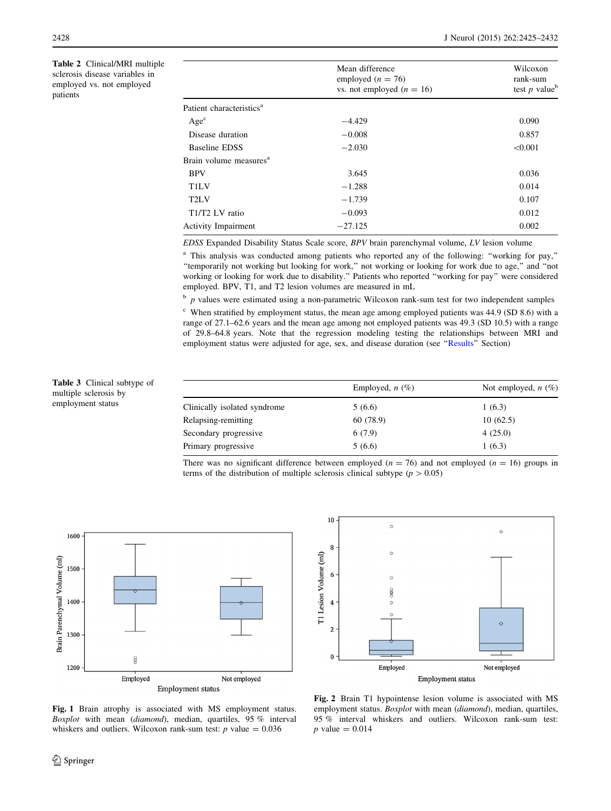<span id="page-3-0"></span>Table 2 Clinical/MRI multiple sclerosis disease variables in employed vs. not employed patients

|                                      | Mean difference<br>employed ( $n = 76$ )<br>vs. not employed ( $n = 16$ ) | Wilcoxon<br>rank-sum<br>test $p$ value <sup>b</sup> |
|--------------------------------------|---------------------------------------------------------------------------|-----------------------------------------------------|
| Patient characteristics <sup>a</sup> |                                                                           |                                                     |
| Age <sup>c</sup>                     | $-4.429$                                                                  | 0.090                                               |
| Disease duration                     | $-0.008$                                                                  | 0.857                                               |
| <b>Baseline EDSS</b>                 | $-2.030$                                                                  | < 0.001                                             |
| Brain volume measures <sup>a</sup>   |                                                                           |                                                     |
| <b>BPV</b>                           | 3.645                                                                     | 0.036                                               |
| T <sub>1</sub> LV                    | $-1.288$                                                                  | 0.014                                               |
| T <sub>2</sub> LV                    | $-1.739$                                                                  | 0.107                                               |
| T1/T2 LV ratio                       | $-0.093$                                                                  | 0.012                                               |
| <b>Activity Impairment</b>           | $-27.125$                                                                 | 0.002                                               |
|                                      |                                                                           |                                                     |

EDSS Expanded Disability Status Scale score, BPV brain parenchymal volume, LV lesion volume

<sup>a</sup> This analysis was conducted among patients who reported any of the following: "working for pay," ''temporarily not working but looking for work,'' not working or looking for work due to age,'' and ''not working or looking for work due to disability.'' Patients who reported ''working for pay'' were considered employed. BPV, T1, and T2 lesion volumes are measured in mL

 $\bar{p}$  p values were estimated using a non-parametric Wilcoxon rank-sum test for two independent samples

<sup>c</sup> When stratified by employment status, the mean age among employed patients was 44.9 (SD 8.6) with a range of 27.1–62.6 years and the mean age among not employed patients was 49.3 (SD 10.5) with a range of 29.8–64.8 years. Note that the regression modeling testing the relationships between MRI and employment status were adjusted for age, sex, and disease duration (see ''[Results'](#page-2-0)' Section)

Table 3 Clinical subtype of multiple sclerosis by employment status

|                              | Employed, $n$ (%) | Not employed, $n$ (%) |
|------------------------------|-------------------|-----------------------|
| Clinically isolated syndrome | 5(6.6)            | 1(6.3)                |
| Relapsing-remitting          | 60 (78.9)         | 10(62.5)              |
| Secondary progressive        | 6(7.9)            | 4(25.0)               |
| Primary progressive          | 5(6.6)            | 1(6.3)                |

There was no significant difference between employed ( $n = 76$ ) and not employed ( $n = 16$ ) groups in terms of the distribution of multiple sclerosis clinical subtype ( $p > 0.05$ )



Fig. 1 Brain atrophy is associated with MS employment status. Boxplot with mean (diamond), median, quartiles, 95 % interval whiskers and outliers. Wilcoxon rank-sum test:  $p$  value = 0.036



Fig. 2 Brain T1 hypointense lesion volume is associated with MS employment status. Boxplot with mean (diamond), median, quartiles, 95 % interval whiskers and outliers. Wilcoxon rank-sum test:  $p$  value = 0.014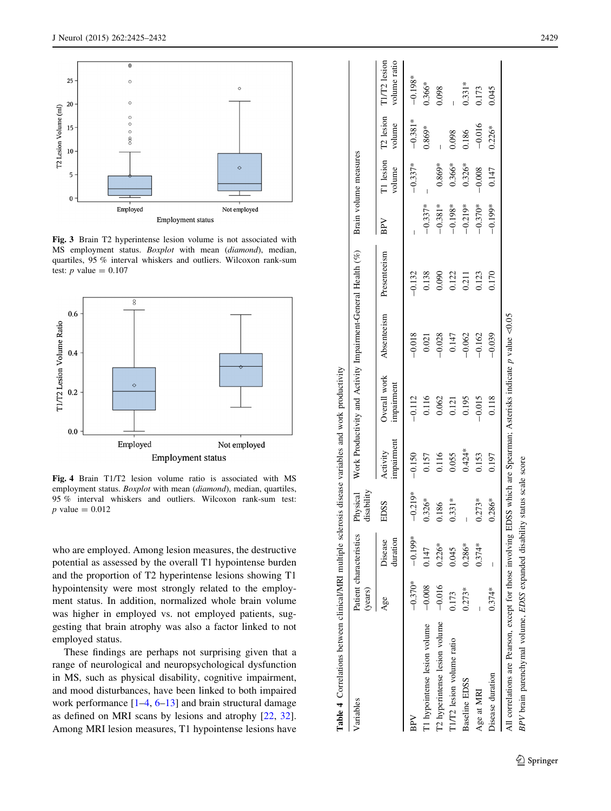<span id="page-4-0"></span>

Fig. 3 Brain T2 hyperintense lesion volume is not associated with MS employment status. Boxplot with mean (diamond), median, quartiles, 95 % interval whiskers and outliers. Wilcoxon rank-sum test: *p* value =  $0.107$ 



Fig. 4 Brain T1/T2 lesion volume ratio is associated with MS employment status. *Boxplot* with mean (*diamond*), median, quartiles, 95 % interval whiskers and outliers. Wilcoxon rank-sum test:  $p$  value = 0.012

who are employed. Among lesion measures, the destructive potential as assessed by the overall T1 hypointense burden and the proportion of T2 hyperintense lesions showing T1 hypointensity were most strongly related to the employment status. In addition, normalized whole brain volume was higher in employed vs. not employed patients, suggesting that brain atrophy was also a factor linked to not employed status.

These findings are perhaps not surprising given that a range of neurological and neuropsychological dysfunction in MS, such as physical disability, cognitive impairment, and mood disturbances, have been linked to both impaired work performance [[1](#page-5-0)–[4](#page-5-0), [6](#page-6-0)[–13\]](#page-6-0) and brain structural damage as defined on MRI scans by lesions and atrophy [\[22](#page-6-0) , [32](#page-6-0)]. Among MRI lesion measures, T1 hypointense lesions have

| Variables                     | (years)   | Patient characteristics Physical | disability |                        | Work Productivity and Activity Impairment-General Health (%) |             |              |           | Brain volume measures |                               |                              |
|-------------------------------|-----------|----------------------------------|------------|------------------------|--------------------------------------------------------------|-------------|--------------|-----------|-----------------------|-------------------------------|------------------------------|
|                               | Age       | duration<br>Disease              | EDSS       | impairment<br>Activity | Overall work<br>impairment                                   | Absenteeism | Presenteeism | BPV       | volume                | T1 lesion T2 lesion<br>volume | T1/T2 lesion<br>volume ratio |
| BPV                           | $-0.370*$ | $-0.199*$                        | $-0.219*$  | $-0.150$               | $-0.112$                                                     | $-0.018$    | $-0.132$     |           | $-0.337*$             | $-0.381*$                     | $-0.198*$                    |
| T1 hypointense lesion volume  | $-0.008$  | 0.147                            | $0.326*$   | 0.157                  | 0.116                                                        | 0.021       | 0.138        | $-0.337*$ |                       | 0.869*                        | $0.366*$                     |
| T2 hyperintense lesion volume | $-0.016$  | $0.226*$                         | 0.186      | 0.116                  | 0.062                                                        | $-0.028$    | 0.090        | $-0.381*$ | $0.869*$              |                               | 0.098                        |
| T1/T2 lesion volume ratio     | 0.173     | 0.045                            | $0.331*$   | 0.055                  | 0.121                                                        | 0.147       | 0.122        | $-0.198*$ | $0.366*$              | 0.098                         |                              |
| <b>Baseline EDSS</b>          | $0.273*$  | $0.286*$                         | I          | $0.424*$               | 0.195                                                        | $-0.062$    | 0.211        | $-0.219*$ | $0.326*$              | 0.186                         | $0.331*$                     |
| Age at MRI                    |           | $0.374*$                         | $0.273*$   | 0.153                  | $-0.015$                                                     | $-0.162$    | 0.123        | $-0.370*$ | $-0.008$              | $-0.016$                      | 0.173                        |
| Disease duration              | $0.374*$  | I                                | $0.286*$   | 0.197                  | 0.118                                                        | $-0.039$    | 0.170        | $-0.199*$ | 0.147                 | $0.226*$                      | 0.045                        |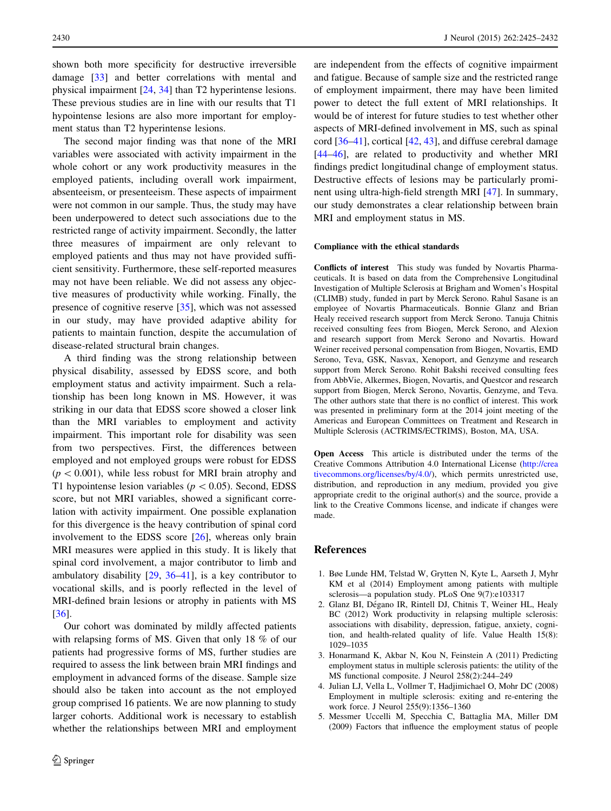<span id="page-5-0"></span>shown both more specificity for destructive irreversible damage [\[33](#page-6-0)] and better correlations with mental and physical impairment [[24,](#page-6-0) [34\]](#page-6-0) than T2 hyperintense lesions. These previous studies are in line with our results that T1 hypointense lesions are also more important for employment status than T2 hyperintense lesions.

The second major finding was that none of the MRI variables were associated with activity impairment in the whole cohort or any work productivity measures in the employed patients, including overall work impairment, absenteeism, or presenteeism. These aspects of impairment were not common in our sample. Thus, the study may have been underpowered to detect such associations due to the restricted range of activity impairment. Secondly, the latter three measures of impairment are only relevant to employed patients and thus may not have provided sufficient sensitivity. Furthermore, these self-reported measures may not have been reliable. We did not assess any objective measures of productivity while working. Finally, the presence of cognitive reserve [\[35](#page-6-0)], which was not assessed in our study, may have provided adaptive ability for patients to maintain function, despite the accumulation of disease-related structural brain changes.

A third finding was the strong relationship between physical disability, assessed by EDSS score, and both employment status and activity impairment. Such a relationship has been long known in MS. However, it was striking in our data that EDSS score showed a closer link than the MRI variables to employment and activity impairment. This important role for disability was seen from two perspectives. First, the differences between employed and not employed groups were robust for EDSS  $(p<0.001)$ , while less robust for MRI brain atrophy and T1 hypointense lesion variables ( $p < 0.05$ ). Second, EDSS score, but not MRI variables, showed a significant correlation with activity impairment. One possible explanation for this divergence is the heavy contribution of spinal cord involvement to the EDSS score [\[26](#page-6-0)], whereas only brain MRI measures were applied in this study. It is likely that spinal cord involvement, a major contributor to limb and ambulatory disability [[29,](#page-6-0) [36](#page-6-0)[–41](#page-7-0)], is a key contributor to vocational skills, and is poorly reflected in the level of MRI-defined brain lesions or atrophy in patients with MS [\[36](#page-6-0)].

Our cohort was dominated by mildly affected patients with relapsing forms of MS. Given that only 18 % of our patients had progressive forms of MS, further studies are required to assess the link between brain MRI findings and employment in advanced forms of the disease. Sample size should also be taken into account as the not employed group comprised 16 patients. We are now planning to study larger cohorts. Additional work is necessary to establish whether the relationships between MRI and employment

are independent from the effects of cognitive impairment and fatigue. Because of sample size and the restricted range of employment impairment, there may have been limited power to detect the full extent of MRI relationships. It would be of interest for future studies to test whether other aspects of MRI-defined involvement in MS, such as spinal cord [[36–](#page-6-0)[41\]](#page-7-0), cortical [[42,](#page-7-0) [43](#page-7-0)], and diffuse cerebral damage [\[44–46](#page-7-0)], are related to productivity and whether MRI findings predict longitudinal change of employment status. Destructive effects of lesions may be particularly prominent using ultra-high-field strength MRI [[47\]](#page-7-0). In summary, our study demonstrates a clear relationship between brain MRI and employment status in MS.

#### Compliance with the ethical standards

Conflicts of interest This study was funded by Novartis Pharmaceuticals. It is based on data from the Comprehensive Longitudinal Investigation of Multiple Sclerosis at Brigham and Women's Hospital (CLIMB) study, funded in part by Merck Serono. Rahul Sasane is an employee of Novartis Pharmaceuticals. Bonnie Glanz and Brian Healy received research support from Merck Serono. Tanuja Chitnis received consulting fees from Biogen, Merck Serono, and Alexion and research support from Merck Serono and Novartis. Howard Weiner received personal compensation from Biogen, Novartis, EMD Serono, Teva, GSK, Nasvax, Xenoport, and Genzyme and research support from Merck Serono. Rohit Bakshi received consulting fees from AbbVie, Alkermes, Biogen, Novartis, and Questcor and research support from Biogen, Merck Serono, Novartis, Genzyme, and Teva. The other authors state that there is no conflict of interest. This work was presented in preliminary form at the 2014 joint meeting of the Americas and European Committees on Treatment and Research in Multiple Sclerosis (ACTRIMS/ECTRIMS), Boston, MA, USA.

Open Access This article is distributed under the terms of the Creative Commons Attribution 4.0 International License ([http://crea](http://creativecommons.org/licenses/by/4.0/) [tivecommons.org/licenses/by/4.0/\)](http://creativecommons.org/licenses/by/4.0/), which permits unrestricted use, distribution, and reproduction in any medium, provided you give appropriate credit to the original author(s) and the source, provide a link to the Creative Commons license, and indicate if changes were made.

## References

- 1. Bøe Lunde HM, Telstad W, Grytten N, Kyte L, Aarseth J, Myhr KM et al (2014) Employment among patients with multiple sclerosis—a population study. PLoS One 9(7):e103317
- 2. Glanz BI, Dégano IR, Rintell DJ, Chitnis T, Weiner HL, Healy BC (2012) Work productivity in relapsing multiple sclerosis: associations with disability, depression, fatigue, anxiety, cognition, and health-related quality of life. Value Health 15(8): 1029–1035
- 3. Honarmand K, Akbar N, Kou N, Feinstein A (2011) Predicting employment status in multiple sclerosis patients: the utility of the MS functional composite. J Neurol 258(2):244–249
- 4. Julian LJ, Vella L, Vollmer T, Hadjimichael O, Mohr DC (2008) Employment in multiple sclerosis: exiting and re-entering the work force. J Neurol 255(9):1356–1360
- 5. Messmer Uccelli M, Specchia C, Battaglia MA, Miller DM (2009) Factors that influence the employment status of people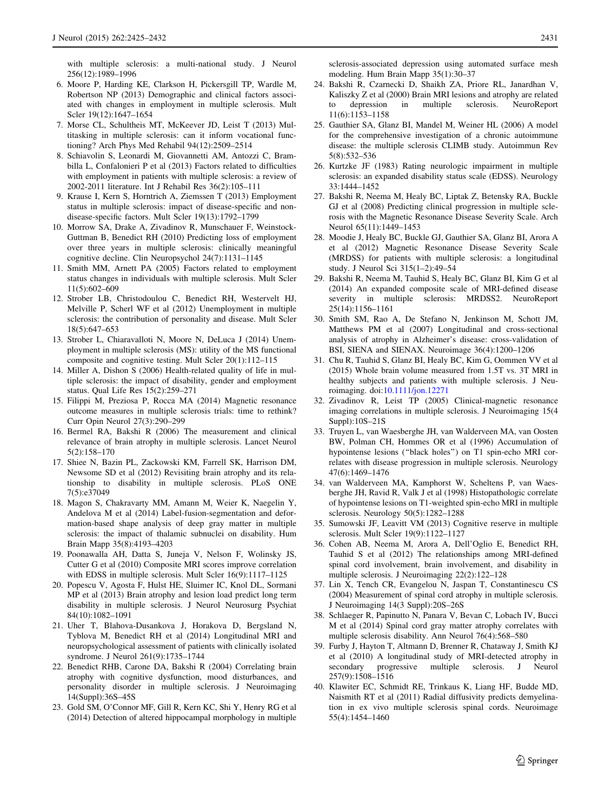<span id="page-6-0"></span>with multiple sclerosis: a multi-national study. J Neurol 256(12):1989–1996

- 6. Moore P, Harding KE, Clarkson H, Pickersgill TP, Wardle M, Robertson NP (2013) Demographic and clinical factors associated with changes in employment in multiple sclerosis. Mult Scler 19(12):1647–1654
- 7. Morse CL, Schultheis MT, McKeever JD, Leist T (2013) Multitasking in multiple sclerosis: can it inform vocational functioning? Arch Phys Med Rehabil 94(12):2509–2514
- 8. Schiavolin S, Leonardi M, Giovannetti AM, Antozzi C, Brambilla L, Confalonieri P et al (2013) Factors related to difficulties with employment in patients with multiple sclerosis: a review of 2002-2011 literature. Int J Rehabil Res 36(2):105–111
- 9. Krause I, Kern S, Horntrich A, Ziemssen T (2013) Employment status in multiple sclerosis: impact of disease-specific and nondisease-specific factors. Mult Scler 19(13):1792–1799
- 10. Morrow SA, Drake A, Zivadinov R, Munschauer F, Weinstock-Guttman B, Benedict RH (2010) Predicting loss of employment over three years in multiple sclerosis: clinically meaningful cognitive decline. Clin Neuropsychol 24(7):1131–1145
- 11. Smith MM, Arnett PA (2005) Factors related to employment status changes in individuals with multiple sclerosis. Mult Scler 11(5):602–609
- 12. Strober LB, Christodoulou C, Benedict RH, Westervelt HJ, Melville P, Scherl WF et al (2012) Unemployment in multiple sclerosis: the contribution of personality and disease. Mult Scler 18(5):647–653
- 13. Strober L, Chiaravalloti N, Moore N, DeLuca J (2014) Unemployment in multiple sclerosis (MS): utility of the MS functional composite and cognitive testing. Mult Scler 20(1):112–115
- 14. Miller A, Dishon S (2006) Health-related quality of life in multiple sclerosis: the impact of disability, gender and employment status. Qual Life Res 15(2):259–271
- 15. Filippi M, Preziosa P, Rocca MA (2014) Magnetic resonance outcome measures in multiple sclerosis trials: time to rethink? Curr Opin Neurol 27(3):290–299
- 16. Bermel RA, Bakshi R (2006) The measurement and clinical relevance of brain atrophy in multiple sclerosis. Lancet Neurol 5(2):158–170
- 17. Shiee N, Bazin PL, Zackowski KM, Farrell SK, Harrison DM, Newsome SD et al (2012) Revisiting brain atrophy and its relationship to disability in multiple sclerosis. PLoS ONE 7(5):e37049
- 18. Magon S, Chakravarty MM, Amann M, Weier K, Naegelin Y, Andelova M et al (2014) Label-fusion-segmentation and deformation-based shape analysis of deep gray matter in multiple sclerosis: the impact of thalamic subnuclei on disability. Hum Brain Mapp 35(8):4193–4203
- 19. Poonawalla AH, Datta S, Juneja V, Nelson F, Wolinsky JS, Cutter G et al (2010) Composite MRI scores improve correlation with EDSS in multiple sclerosis. Mult Scler 16(9):1117-1125
- 20. Popescu V, Agosta F, Hulst HE, Sluimer IC, Knol DL, Sormani MP et al (2013) Brain atrophy and lesion load predict long term disability in multiple sclerosis. J Neurol Neurosurg Psychiat 84(10):1082–1091
- 21. Uher T, Blahova-Dusankova J, Horakova D, Bergsland N, Tyblova M, Benedict RH et al (2014) Longitudinal MRI and neuropsychological assessment of patients with clinically isolated syndrome. J Neurol 261(9):1735–1744
- 22. Benedict RHB, Carone DA, Bakshi R (2004) Correlating brain atrophy with cognitive dysfunction, mood disturbances, and personality disorder in multiple sclerosis. J Neuroimaging 14(Suppl):36S–45S
- 23. Gold SM, O'Connor MF, Gill R, Kern KC, Shi Y, Henry RG et al (2014) Detection of altered hippocampal morphology in multiple

sclerosis-associated depression using automated surface mesh modeling. Hum Brain Mapp 35(1):30–37

- 24. Bakshi R, Czarnecki D, Shaikh ZA, Priore RL, Janardhan V, Kaliszky Z et al (2000) Brain MRI lesions and atrophy are related to depression in multiple sclerosis. NeuroReport 11(6):1153–1158
- 25. Gauthier SA, Glanz BI, Mandel M, Weiner HL (2006) A model for the comprehensive investigation of a chronic autoimmune disease: the multiple sclerosis CLIMB study. Autoimmun Rev 5(8):532–536
- 26. Kurtzke JF (1983) Rating neurologic impairment in multiple sclerosis: an expanded disability status scale (EDSS). Neurology 33:1444–1452
- 27. Bakshi R, Neema M, Healy BC, Liptak Z, Betensky RA, Buckle GJ et al (2008) Predicting clinical progression in multiple sclerosis with the Magnetic Resonance Disease Severity Scale. Arch Neurol 65(11):1449–1453
- 28. Moodie J, Healy BC, Buckle GJ, Gauthier SA, Glanz BI, Arora A et al (2012) Magnetic Resonance Disease Severity Scale (MRDSS) for patients with multiple sclerosis: a longitudinal study. J Neurol Sci 315(1–2):49–54
- 29. Bakshi R, Neema M, Tauhid S, Healy BC, Glanz BI, Kim G et al (2014) An expanded composite scale of MRI-defined disease severity in multiple sclerosis: MRDSS2. NeuroReport 25(14):1156–1161
- 30. Smith SM, Rao A, De Stefano N, Jenkinson M, Schott JM, Matthews PM et al (2007) Longitudinal and cross-sectional analysis of atrophy in Alzheimer's disease: cross-validation of BSI, SIENA and SIENAX. Neuroimage 36(4):1200–1206
- 31. Chu R, Tauhid S, Glanz BI, Healy BC, Kim G, Oommen VV et al (2015) Whole brain volume measured from 1.5T vs. 3T MRI in healthy subjects and patients with multiple sclerosis. J Neuroimaging. doi:[10.1111/jon.12271](http://dx.doi.org/10.1111/jon.12271)
- 32. Zivadinov R, Leist TP (2005) Clinical-magnetic resonance imaging correlations in multiple sclerosis. J Neuroimaging 15(4 Suppl):10S–21S
- 33. Truyen L, van Waesberghe JH, van Walderveen MA, van Oosten BW, Polman CH, Hommes OR et al (1996) Accumulation of hypointense lesions (''black holes'') on T1 spin-echo MRI correlates with disease progression in multiple sclerosis. Neurology 47(6):1469–1476
- 34. van Walderveen MA, Kamphorst W, Scheltens P, van Waesberghe JH, Ravid R, Valk J et al (1998) Histopathologic correlate of hypointense lesions on T1-weighted spin-echo MRI in multiple sclerosis. Neurology 50(5):1282–1288
- 35. Sumowski JF, Leavitt VM (2013) Cognitive reserve in multiple sclerosis. Mult Scler 19(9):1122–1127
- 36. Cohen AB, Neema M, Arora A, Dell'Oglio E, Benedict RH, Tauhid S et al (2012) The relationships among MRI-defined spinal cord involvement, brain involvement, and disability in multiple sclerosis. J Neuroimaging 22(2):122–128
- 37. Lin X, Tench CR, Evangelou N, Jaspan T, Constantinescu CS (2004) Measurement of spinal cord atrophy in multiple sclerosis. J Neuroimaging 14(3 Suppl):20S–26S
- 38. Schlaeger R, Papinutto N, Panara V, Bevan C, Lobach IV, Bucci M et al (2014) Spinal cord gray matter atrophy correlates with multiple sclerosis disability. Ann Neurol 76(4):568–580
- 39. Furby J, Hayton T, Altmann D, Brenner R, Chataway J, Smith KJ et al (2010) A longitudinal study of MRI-detected atrophy in secondary progressive multiple sclerosis. J Neurol 257(9):1508–1516
- 40. Klawiter EC, Schmidt RE, Trinkaus K, Liang HF, Budde MD, Naismith RT et al (2011) Radial diffusivity predicts demyelination in ex vivo multiple sclerosis spinal cords. Neuroimage 55(4):1454–1460